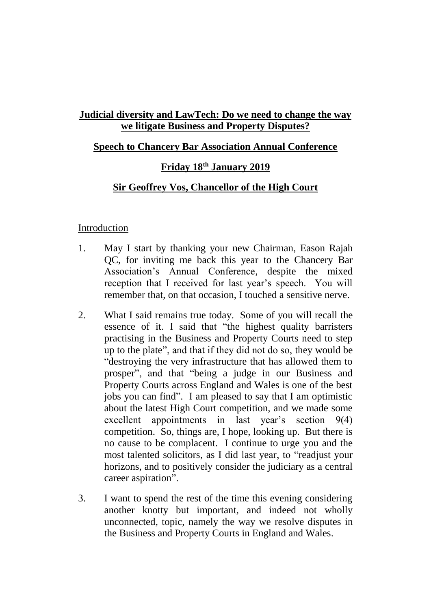# **Judicial diversity and LawTech: Do we need to change the way we litigate Business and Property Disputes?**

### **Speech to Chancery Bar Association Annual Conference**

### **Friday 18 th January 2019**

### **Sir Geoffrey Vos, Chancellor of the High Court**

#### Introduction

- 1. May I start by thanking your new Chairman, Eason Rajah QC, for inviting me back this year to the Chancery Bar Association's Annual Conference, despite the mixed reception that I received for last year's speech. You will remember that, on that occasion, I touched a sensitive nerve.
- 2. What I said remains true today. Some of you will recall the essence of it. I said that "the highest quality barristers practising in the Business and Property Courts need to step up to the plate", and that if they did not do so, they would be "destroying the very infrastructure that has allowed them to prosper", and that "being a judge in our Business and Property Courts across England and Wales is one of the best jobs you can find". I am pleased to say that I am optimistic about the latest High Court competition, and we made some excellent appointments in last year's section 9(4) competition. So, things are, I hope, looking up. But there is no cause to be complacent. I continue to urge you and the most talented solicitors, as I did last year, to "readjust your horizons, and to positively consider the judiciary as a central career aspiration".
- 3. I want to spend the rest of the time this evening considering another knotty but important, and indeed not wholly unconnected, topic, namely the way we resolve disputes in the Business and Property Courts in England and Wales.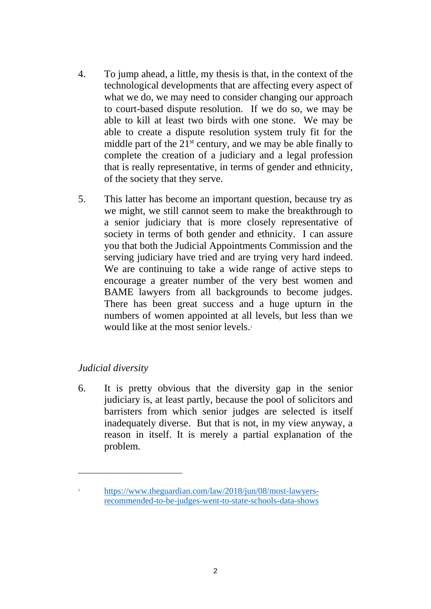- 4. To jump ahead, a little, my thesis is that, in the context of the technological developments that are affecting every aspect of what we do, we may need to consider changing our approach to court-based dispute resolution. If we do so, we may be able to kill at least two birds with one stone. We may be able to create a dispute resolution system truly fit for the middle part of the  $21<sup>st</sup>$  century, and we may be able finally to complete the creation of a judiciary and a legal profession that is really representative, in terms of gender and ethnicity, of the society that they serve.
- 5. This latter has become an important question, because try as we might, we still cannot seem to make the breakthrough to a senior judiciary that is more closely representative of society in terms of both gender and ethnicity. I can assure you that both the Judicial Appointments Commission and the serving judiciary have tried and are trying very hard indeed. We are continuing to take a wide range of active steps to encourage a greater number of the very best women and BAME lawyers from all backgrounds to become judges. There has been great success and a huge upturn in the numbers of women appointed at all levels, but less than we would like at the most senior levels.<sup>1</sup>

## *Judicial diversity*

1

6. It is pretty obvious that the diversity gap in the senior judiciary is, at least partly, because the pool of solicitors and barristers from which senior judges are selected is itself inadequately diverse. But that is not, in my view anyway, a reason in itself. It is merely a partial explanation of the problem.

<sup>1</sup> [https://www.theguardian.com/law/2018/jun/08/most-lawyers](https://emea01.safelinks.protection.outlook.com/?url=https%3A%2F%2Fwww.theguardian.com%2Flaw%2F2018%2Fjun%2F08%2Fmost-lawyers-recommended-to-be-judges-went-to-state-schools-data-shows&data=02%7C01%7CChancellor%40ejudiciary.net%7C184d313a2b3b4cf3f09008d67a4aaa2f%7C723e45572f1743ed9e71f1beb253e546%7C1%7C0%7C636830858434474827&sdata=hW0AEpza81tfWbw%2FP%2F2UNjjlTAQf6QLi1re3xpyxRyE%3D&reserved=0)[recommended-to-be-judges-went-to-state-schools-data-shows](https://emea01.safelinks.protection.outlook.com/?url=https%3A%2F%2Fwww.theguardian.com%2Flaw%2F2018%2Fjun%2F08%2Fmost-lawyers-recommended-to-be-judges-went-to-state-schools-data-shows&data=02%7C01%7CChancellor%40ejudiciary.net%7C184d313a2b3b4cf3f09008d67a4aaa2f%7C723e45572f1743ed9e71f1beb253e546%7C1%7C0%7C636830858434474827&sdata=hW0AEpza81tfWbw%2FP%2F2UNjjlTAQf6QLi1re3xpyxRyE%3D&reserved=0)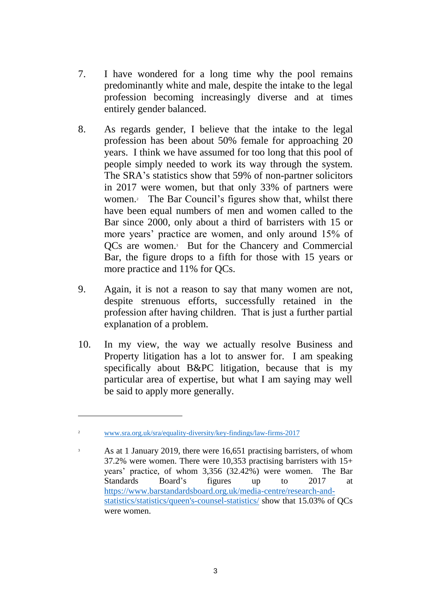- 7. I have wondered for a long time why the pool remains predominantly white and male, despite the intake to the legal profession becoming increasingly diverse and at times entirely gender balanced.
- 8. As regards gender, I believe that the intake to the legal profession has been about 50% female for approaching 20 years. I think we have assumed for too long that this pool of people simply needed to work its way through the system. The SRA's statistics show that 59% of non-partner solicitors in 2017 were women, but that only 33% of partners were women. <sup>2</sup> The Bar Council's figures show that, whilst there have been equal numbers of men and women called to the Bar since 2000, only about a third of barristers with 15 or more years' practice are women, and only around 15% of QCs are women. <sup>3</sup> But for the Chancery and Commercial Bar, the figure drops to a fifth for those with 15 years or more practice and 11% for QCs.
- 9. Again, it is not a reason to say that many women are not, despite strenuous efforts, successfully retained in the profession after having children. That is just a further partial explanation of a problem.
- 10. In my view, the way we actually resolve Business and Property litigation has a lot to answer for. I am speaking specifically about B&PC litigation, because that is my particular area of expertise, but what I am saying may well be said to apply more generally.

1

<sup>2</sup> [www.sra.org.uk/sra/equality-diversity/key-findings/law-firms-2017](http://www.sra.org.uk/sra/equality-diversity/key-findings/law-firms-2017.)

As at 1 January 2019, there were 16,651 practising barristers, of whom 37.2% were women. There were 10,353 practising barristers with 15+ years' practice, of whom 3,356 (32.42%) were women. The Bar Standards Board's figures up to 2017 at [https://www.barstandardsboard.org.uk/media-centre/research-and](https://emea01.safelinks.protection.outlook.com/?url=https%3A%2F%2Fwww.barstandardsboard.org.uk%2Fmedia-centre%2Fresearch-and-statistics%2Fstatistics%2Fqueen%27s-counsel-statistics%2F&data=02%7C01%7CChancellor%40ejudiciary.net%7C5b4594f62c43411e2ad308d677e6c024%7C723e45572f1743ed9e71f1beb253e546%7C1%7C0%7C636828230284835246&sdata=l12VOqrCwcbui9v9biyJfUSK6puiIDsdwxoh9fiyx3U%3D&reserved=0)[statistics/statistics/queen's-counsel-statistics/](https://emea01.safelinks.protection.outlook.com/?url=https%3A%2F%2Fwww.barstandardsboard.org.uk%2Fmedia-centre%2Fresearch-and-statistics%2Fstatistics%2Fqueen%27s-counsel-statistics%2F&data=02%7C01%7CChancellor%40ejudiciary.net%7C5b4594f62c43411e2ad308d677e6c024%7C723e45572f1743ed9e71f1beb253e546%7C1%7C0%7C636828230284835246&sdata=l12VOqrCwcbui9v9biyJfUSK6puiIDsdwxoh9fiyx3U%3D&reserved=0) show that 15.03% of QCs were women.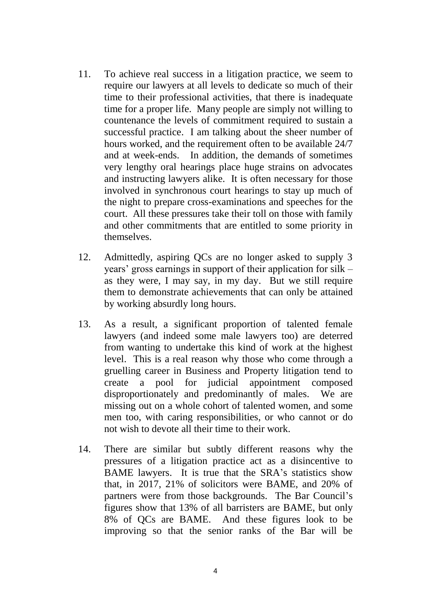- 11. To achieve real success in a litigation practice, we seem to require our lawyers at all levels to dedicate so much of their time to their professional activities, that there is inadequate time for a proper life. Many people are simply not willing to countenance the levels of commitment required to sustain a successful practice. I am talking about the sheer number of hours worked, and the requirement often to be available 24/7 and at week-ends. In addition, the demands of sometimes very lengthy oral hearings place huge strains on advocates and instructing lawyers alike. It is often necessary for those involved in synchronous court hearings to stay up much of the night to prepare cross-examinations and speeches for the court. All these pressures take their toll on those with family and other commitments that are entitled to some priority in themselves.
- 12. Admittedly, aspiring QCs are no longer asked to supply 3 years' gross earnings in support of their application for silk – as they were, I may say, in my day. But we still require them to demonstrate achievements that can only be attained by working absurdly long hours.
- 13. As a result, a significant proportion of talented female lawyers (and indeed some male lawyers too) are deterred from wanting to undertake this kind of work at the highest level. This is a real reason why those who come through a gruelling career in Business and Property litigation tend to create a pool for judicial appointment composed disproportionately and predominantly of males. We are missing out on a whole cohort of talented women, and some men too, with caring responsibilities, or who cannot or do not wish to devote all their time to their work.
- 14. There are similar but subtly different reasons why the pressures of a litigation practice act as a disincentive to BAME lawyers. It is true that the SRA's statistics show that, in 2017, 21% of solicitors were BAME, and 20% of partners were from those backgrounds. The Bar Council's figures show that 13% of all barristers are BAME, but only 8% of QCs are BAME. And these figures look to be improving so that the senior ranks of the Bar will be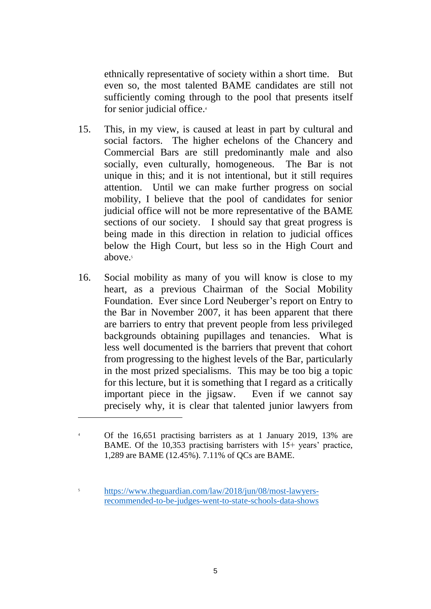ethnically representative of society within a short time. But even so, the most talented BAME candidates are still not sufficiently coming through to the pool that presents itself for senior judicial office. 4

- 15. This, in my view, is caused at least in part by cultural and social factors. The higher echelons of the Chancery and Commercial Bars are still predominantly male and also socially, even culturally, homogeneous. The Bar is not unique in this; and it is not intentional, but it still requires attention. Until we can make further progress on social mobility, I believe that the pool of candidates for senior judicial office will not be more representative of the BAME sections of our society. I should say that great progress is being made in this direction in relation to judicial offices below the High Court, but less so in the High Court and above. 5
- 16. Social mobility as many of you will know is close to my heart, as a previous Chairman of the Social Mobility Foundation. Ever since Lord Neuberger's report on Entry to the Bar in November 2007, it has been apparent that there are barriers to entry that prevent people from less privileged backgrounds obtaining pupillages and tenancies. What is less well documented is the barriers that prevent that cohort from progressing to the highest levels of the Bar, particularly in the most prized specialisms. This may be too big a topic for this lecture, but it is something that I regard as a critically important piece in the jigsaw. Even if we cannot say precisely why, it is clear that talented junior lawyers from

1

<sup>4</sup> Of the 16,651 practising barristers as at 1 January 2019, 13% are BAME. Of the 10,353 practising barristers with 15+ years' practice, 1,289 are BAME (12.45%). 7.11% of QCs are BAME.

<sup>5</sup> [https://www.theguardian.com/law/2018/jun/08/most-lawyers](https://emea01.safelinks.protection.outlook.com/?url=https%3A%2F%2Fwww.theguardian.com%2Flaw%2F2018%2Fjun%2F08%2Fmost-lawyers-recommended-to-be-judges-went-to-state-schools-data-shows&data=02%7C01%7CChancellor%40ejudiciary.net%7C184d313a2b3b4cf3f09008d67a4aaa2f%7C723e45572f1743ed9e71f1beb253e546%7C1%7C0%7C636830858434474827&sdata=hW0AEpza81tfWbw%2FP%2F2UNjjlTAQf6QLi1re3xpyxRyE%3D&reserved=0)[recommended-to-be-judges-went-to-state-schools-data-shows](https://emea01.safelinks.protection.outlook.com/?url=https%3A%2F%2Fwww.theguardian.com%2Flaw%2F2018%2Fjun%2F08%2Fmost-lawyers-recommended-to-be-judges-went-to-state-schools-data-shows&data=02%7C01%7CChancellor%40ejudiciary.net%7C184d313a2b3b4cf3f09008d67a4aaa2f%7C723e45572f1743ed9e71f1beb253e546%7C1%7C0%7C636830858434474827&sdata=hW0AEpza81tfWbw%2FP%2F2UNjjlTAQf6QLi1re3xpyxRyE%3D&reserved=0)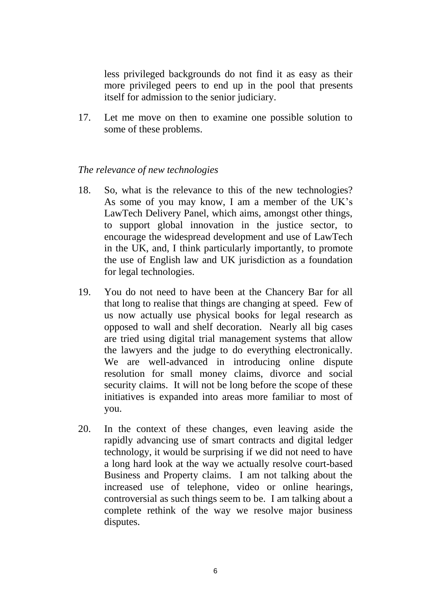less privileged backgrounds do not find it as easy as their more privileged peers to end up in the pool that presents itself for admission to the senior judiciary.

17. Let me move on then to examine one possible solution to some of these problems.

### *The relevance of new technologies*

- 18. So, what is the relevance to this of the new technologies? As some of you may know, I am a member of the UK's LawTech Delivery Panel, which aims, amongst other things, to support global innovation in the justice sector, to encourage the widespread development and use of LawTech in the UK, and, I think particularly importantly, to promote the use of English law and UK jurisdiction as a foundation for legal technologies.
- 19. You do not need to have been at the Chancery Bar for all that long to realise that things are changing at speed. Few of us now actually use physical books for legal research as opposed to wall and shelf decoration. Nearly all big cases are tried using digital trial management systems that allow the lawyers and the judge to do everything electronically. We are well-advanced in introducing online dispute resolution for small money claims, divorce and social security claims. It will not be long before the scope of these initiatives is expanded into areas more familiar to most of you.
- 20. In the context of these changes, even leaving aside the rapidly advancing use of smart contracts and digital ledger technology, it would be surprising if we did not need to have a long hard look at the way we actually resolve court-based Business and Property claims. I am not talking about the increased use of telephone, video or online hearings, controversial as such things seem to be. I am talking about a complete rethink of the way we resolve major business disputes.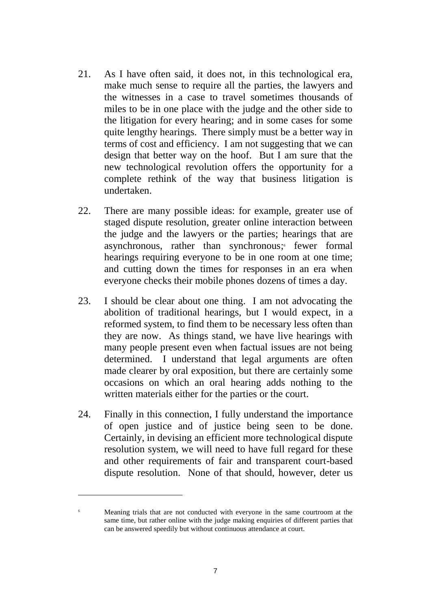- 21. As I have often said, it does not, in this technological era, make much sense to require all the parties, the lawyers and the witnesses in a case to travel sometimes thousands of miles to be in one place with the judge and the other side to the litigation for every hearing; and in some cases for some quite lengthy hearings. There simply must be a better way in terms of cost and efficiency. I am not suggesting that we can design that better way on the hoof. But I am sure that the new technological revolution offers the opportunity for a complete rethink of the way that business litigation is undertaken.
- 22. There are many possible ideas: for example, greater use of staged dispute resolution, greater online interaction between the judge and the lawyers or the parties; hearings that are asynchronous, rather than synchronous; fewer formal hearings requiring everyone to be in one room at one time: and cutting down the times for responses in an era when everyone checks their mobile phones dozens of times a day.
- 23. I should be clear about one thing. I am not advocating the abolition of traditional hearings, but I would expect, in a reformed system, to find them to be necessary less often than they are now. As things stand, we have live hearings with many people present even when factual issues are not being determined. I understand that legal arguments are often made clearer by oral exposition, but there are certainly some occasions on which an oral hearing adds nothing to the written materials either for the parties or the court.
- 24. Finally in this connection, I fully understand the importance of open justice and of justice being seen to be done. Certainly, in devising an efficient more technological dispute resolution system, we will need to have full regard for these and other requirements of fair and transparent court-based dispute resolution. None of that should, however, deter us

1

<sup>6</sup> Meaning trials that are not conducted with everyone in the same courtroom at the same time, but rather online with the judge making enquiries of different parties that can be answered speedily but without continuous attendance at court.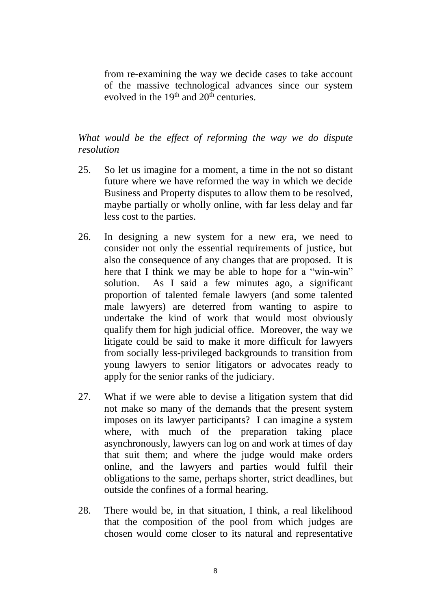from re-examining the way we decide cases to take account of the massive technological advances since our system evolved in the  $19<sup>th</sup>$  and  $20<sup>th</sup>$  centuries.

*What would be the effect of reforming the way we do dispute resolution*

- 25. So let us imagine for a moment, a time in the not so distant future where we have reformed the way in which we decide Business and Property disputes to allow them to be resolved, maybe partially or wholly online, with far less delay and far less cost to the parties.
- 26. In designing a new system for a new era, we need to consider not only the essential requirements of justice, but also the consequence of any changes that are proposed. It is here that I think we may be able to hope for a "win-win" solution. As I said a few minutes ago, a significant proportion of talented female lawyers (and some talented male lawyers) are deterred from wanting to aspire to undertake the kind of work that would most obviously qualify them for high judicial office. Moreover, the way we litigate could be said to make it more difficult for lawyers from socially less-privileged backgrounds to transition from young lawyers to senior litigators or advocates ready to apply for the senior ranks of the judiciary.
- 27. What if we were able to devise a litigation system that did not make so many of the demands that the present system imposes on its lawyer participants? I can imagine a system where, with much of the preparation taking place asynchronously, lawyers can log on and work at times of day that suit them; and where the judge would make orders online, and the lawyers and parties would fulfil their obligations to the same, perhaps shorter, strict deadlines, but outside the confines of a formal hearing.
- 28. There would be, in that situation, I think, a real likelihood that the composition of the pool from which judges are chosen would come closer to its natural and representative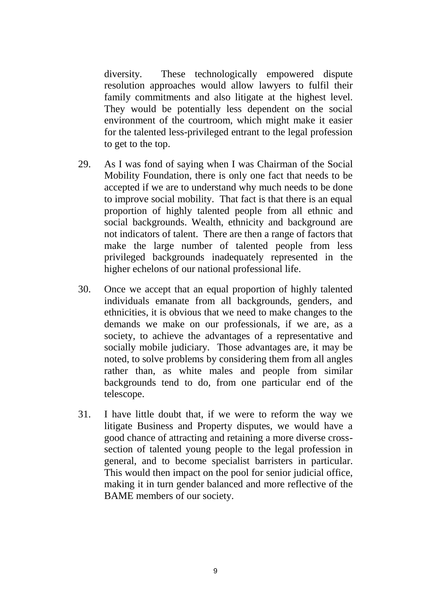diversity. These technologically empowered dispute resolution approaches would allow lawyers to fulfil their family commitments and also litigate at the highest level. They would be potentially less dependent on the social environment of the courtroom, which might make it easier for the talented less-privileged entrant to the legal profession to get to the top.

- 29. As I was fond of saying when I was Chairman of the Social Mobility Foundation, there is only one fact that needs to be accepted if we are to understand why much needs to be done to improve social mobility. That fact is that there is an equal proportion of highly talented people from all ethnic and social backgrounds. Wealth, ethnicity and background are not indicators of talent. There are then a range of factors that make the large number of talented people from less privileged backgrounds inadequately represented in the higher echelons of our national professional life.
- 30. Once we accept that an equal proportion of highly talented individuals emanate from all backgrounds, genders, and ethnicities, it is obvious that we need to make changes to the demands we make on our professionals, if we are, as a society, to achieve the advantages of a representative and socially mobile judiciary. Those advantages are, it may be noted, to solve problems by considering them from all angles rather than, as white males and people from similar backgrounds tend to do, from one particular end of the telescope.
- 31. I have little doubt that, if we were to reform the way we litigate Business and Property disputes, we would have a good chance of attracting and retaining a more diverse crosssection of talented young people to the legal profession in general, and to become specialist barristers in particular. This would then impact on the pool for senior judicial office, making it in turn gender balanced and more reflective of the BAME members of our society.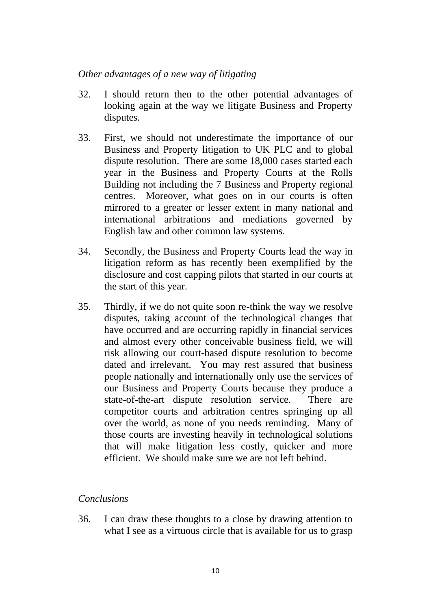### *Other advantages of a new way of litigating*

- 32. I should return then to the other potential advantages of looking again at the way we litigate Business and Property disputes.
- 33. First, we should not underestimate the importance of our Business and Property litigation to UK PLC and to global dispute resolution. There are some 18,000 cases started each year in the Business and Property Courts at the Rolls Building not including the 7 Business and Property regional centres. Moreover, what goes on in our courts is often mirrored to a greater or lesser extent in many national and international arbitrations and mediations governed by English law and other common law systems.
- 34. Secondly, the Business and Property Courts lead the way in litigation reform as has recently been exemplified by the disclosure and cost capping pilots that started in our courts at the start of this year.
- 35. Thirdly, if we do not quite soon re-think the way we resolve disputes, taking account of the technological changes that have occurred and are occurring rapidly in financial services and almost every other conceivable business field, we will risk allowing our court-based dispute resolution to become dated and irrelevant. You may rest assured that business people nationally and internationally only use the services of our Business and Property Courts because they produce a state-of-the-art dispute resolution service. There are competitor courts and arbitration centres springing up all over the world, as none of you needs reminding. Many of those courts are investing heavily in technological solutions that will make litigation less costly, quicker and more efficient. We should make sure we are not left behind.

## *Conclusions*

36. I can draw these thoughts to a close by drawing attention to what I see as a virtuous circle that is available for us to grasp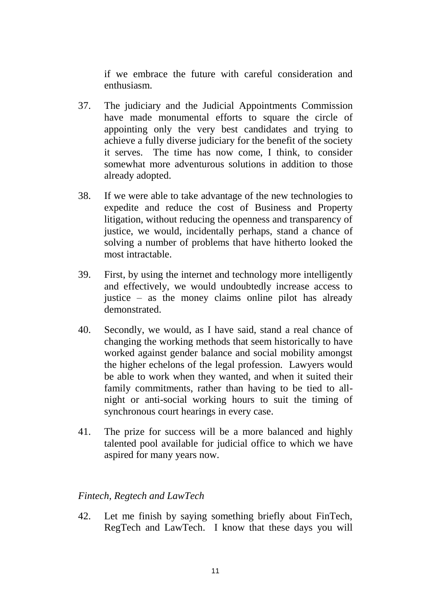if we embrace the future with careful consideration and enthusiasm.

- 37. The judiciary and the Judicial Appointments Commission have made monumental efforts to square the circle of appointing only the very best candidates and trying to achieve a fully diverse judiciary for the benefit of the society it serves. The time has now come, I think, to consider somewhat more adventurous solutions in addition to those already adopted.
- 38. If we were able to take advantage of the new technologies to expedite and reduce the cost of Business and Property litigation, without reducing the openness and transparency of justice, we would, incidentally perhaps, stand a chance of solving a number of problems that have hitherto looked the most intractable.
- 39. First, by using the internet and technology more intelligently and effectively, we would undoubtedly increase access to justice – as the money claims online pilot has already demonstrated.
- 40. Secondly, we would, as I have said, stand a real chance of changing the working methods that seem historically to have worked against gender balance and social mobility amongst the higher echelons of the legal profession. Lawyers would be able to work when they wanted, and when it suited their family commitments, rather than having to be tied to allnight or anti-social working hours to suit the timing of synchronous court hearings in every case.
- 41. The prize for success will be a more balanced and highly talented pool available for judicial office to which we have aspired for many years now.

### *Fintech, Regtech and LawTech*

42. Let me finish by saying something briefly about FinTech, RegTech and LawTech. I know that these days you will